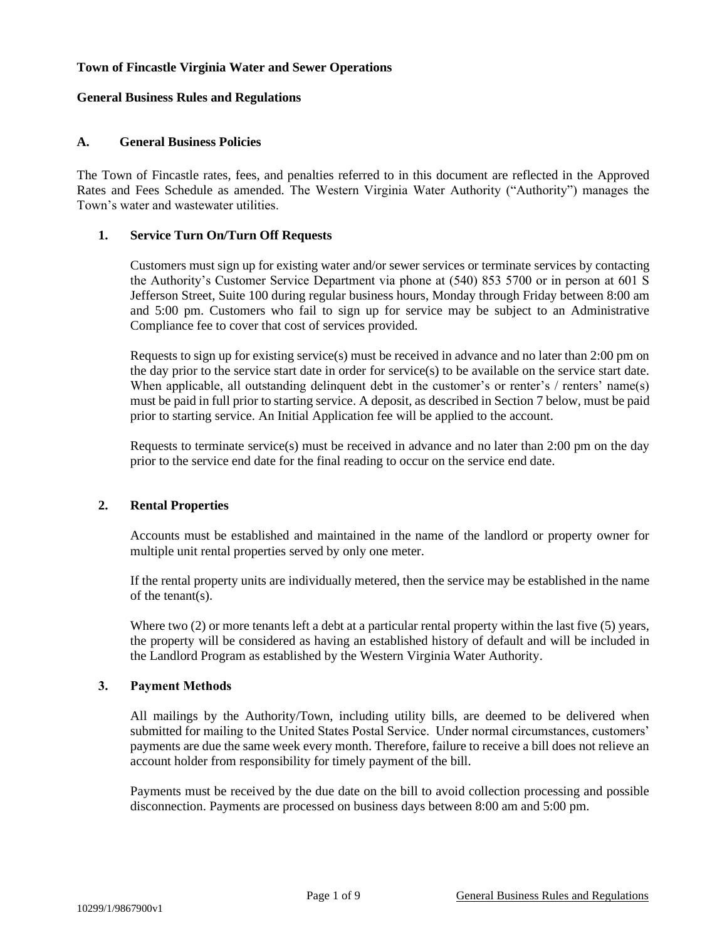## **Town of Fincastle Virginia Water and Sewer Operations**

#### **General Business Rules and Regulations**

#### **A. General Business Policies**

The Town of Fincastle rates, fees, and penalties referred to in this document are reflected in the Approved Rates and Fees Schedule as amended. The Western Virginia Water Authority ("Authority") manages the Town's water and wastewater utilities.

#### **1. Service Turn On/Turn Off Requests**

Customers must sign up for existing water and/or sewer services or terminate services by contacting the Authority's Customer Service Department via phone at (540) 853 5700 or in person at 601 S Jefferson Street, Suite 100 during regular business hours, Monday through Friday between 8:00 am and 5:00 pm. Customers who fail to sign up for service may be subject to an Administrative Compliance fee to cover that cost of services provided.

Requests to sign up for existing service(s) must be received in advance and no later than 2:00 pm on the day prior to the service start date in order for service(s) to be available on the service start date. When applicable, all outstanding delinquent debt in the customer's or renter's / renters' name(s) must be paid in full prior to starting service. A deposit, as described in Section 7 below, must be paid prior to starting service. An Initial Application fee will be applied to the account.

Requests to terminate service(s) must be received in advance and no later than 2:00 pm on the day prior to the service end date for the final reading to occur on the service end date.

## **2. Rental Properties**

Accounts must be established and maintained in the name of the landlord or property owner for multiple unit rental properties served by only one meter.

If the rental property units are individually metered, then the service may be established in the name of the tenant(s).

Where two (2) or more tenants left a debt at a particular rental property within the last five (5) years, the property will be considered as having an established history of default and will be included in the Landlord Program as established by the Western Virginia Water Authority.

#### **3. Payment Methods**

All mailings by the Authority/Town, including utility bills, are deemed to be delivered when submitted for mailing to the United States Postal Service. Under normal circumstances, customers' payments are due the same week every month. Therefore, failure to receive a bill does not relieve an account holder from responsibility for timely payment of the bill.

Payments must be received by the due date on the bill to avoid collection processing and possible disconnection. Payments are processed on business days between 8:00 am and 5:00 pm.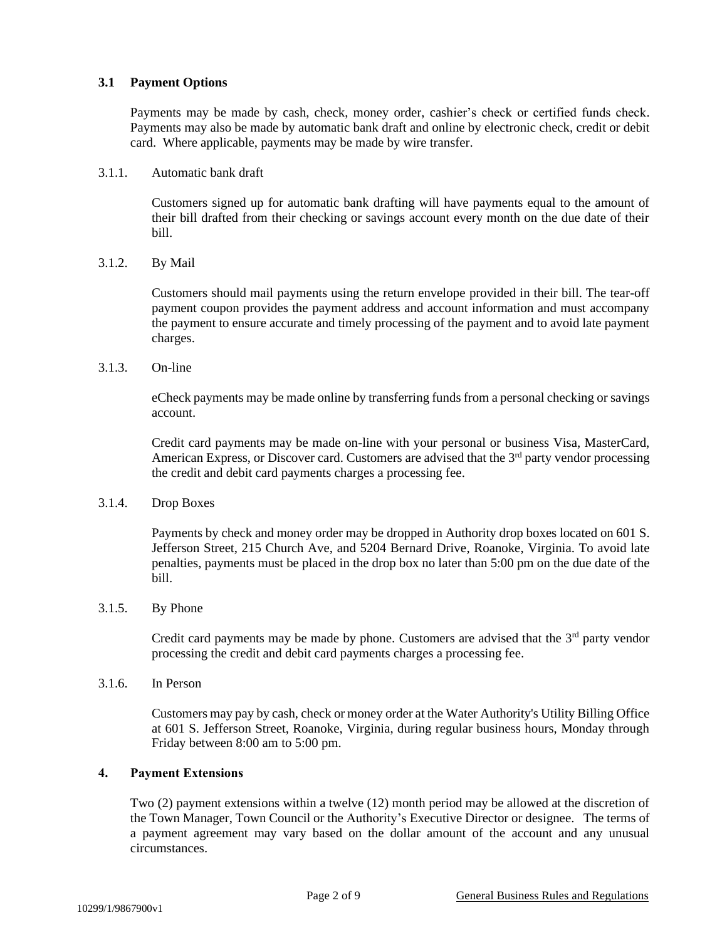#### **3.1 Payment Options**

Payments may be made by cash, check, money order, cashier's check or certified funds check. Payments may also be made by automatic bank draft and online by electronic check, credit or debit card. Where applicable, payments may be made by wire transfer.

#### 3.1.1. Automatic bank draft

Customers signed up for automatic bank drafting will have payments equal to the amount of their bill drafted from their checking or savings account every month on the due date of their bill.

## 3.1.2. By Mail

Customers should mail payments using the return envelope provided in their bill. The tear-off payment coupon provides the payment address and account information and must accompany the payment to ensure accurate and timely processing of the payment and to avoid late payment charges.

#### 3.1.3. On-line

eCheck payments may be made online by transferring funds from a personal checking or savings account.

Credit card payments may be made on-line with your personal or business Visa, MasterCard, American Express, or Discover card. Customers are advised that the  $3<sup>rd</sup>$  party vendor processing the credit and debit card payments charges a processing fee.

## 3.1.4. Drop Boxes

Payments by check and money order may be dropped in Authority drop boxes located on 601 S. Jefferson Street, 215 Church Ave, and 5204 Bernard Drive, Roanoke, Virginia. To avoid late penalties, payments must be placed in the drop box no later than 5:00 pm on the due date of the bill.

## 3.1.5. By Phone

Credit card payments may be made by phone. Customers are advised that the  $3<sup>rd</sup>$  party vendor processing the credit and debit card payments charges a processing fee.

## 3.1.6. In Person

Customers may pay by cash, check or money order at the Water Authority's Utility Billing Office at 601 S. Jefferson Street, Roanoke, Virginia, during regular business hours, Monday through Friday between 8:00 am to 5:00 pm.

#### **4. Payment Extensions**

Two (2) payment extensions within a twelve (12) month period may be allowed at the discretion of the Town Manager, Town Council or the Authority's Executive Director or designee. The terms of a payment agreement may vary based on the dollar amount of the account and any unusual circumstances.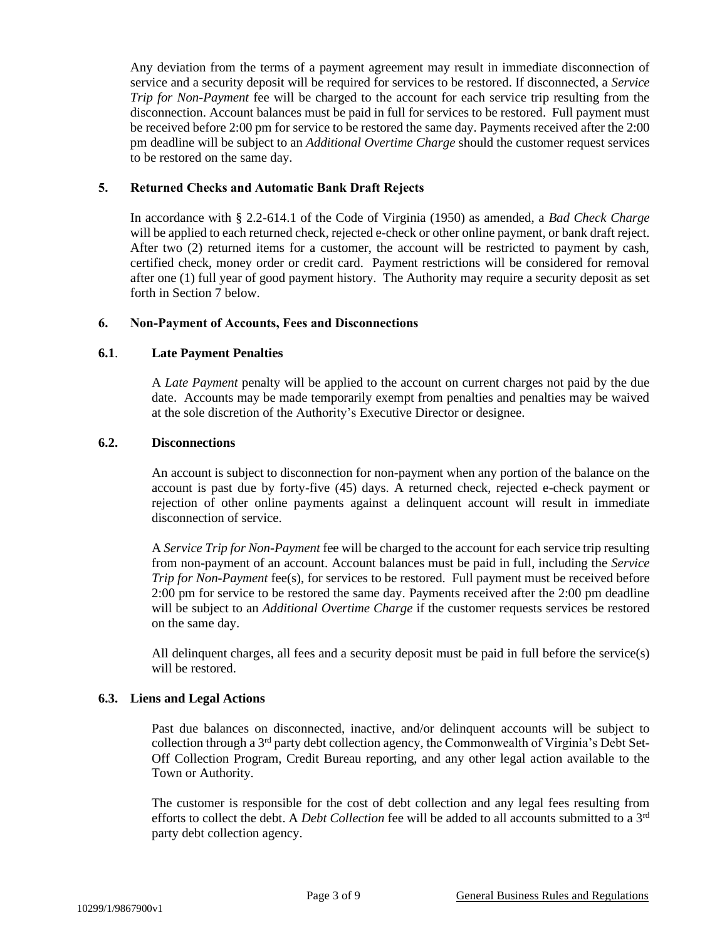Any deviation from the terms of a payment agreement may result in immediate disconnection of service and a security deposit will be required for services to be restored. If disconnected, a *Service Trip for Non-Payment* fee will be charged to the account for each service trip resulting from the disconnection. Account balances must be paid in full for services to be restored. Full payment must be received before 2:00 pm for service to be restored the same day. Payments received after the 2:00 pm deadline will be subject to an *Additional Overtime Charge* should the customer request services to be restored on the same day.

#### **5. Returned Checks and Automatic Bank Draft Rejects**

In accordance with § 2.2-614.1 of the Code of Virginia (1950) as amended, a *Bad Check Charge* will be applied to each returned check, rejected e-check or other online payment, or bank draft reject. After two (2) returned items for a customer, the account will be restricted to payment by cash, certified check, money order or credit card. Payment restrictions will be considered for removal after one (1) full year of good payment history. The Authority may require a security deposit as set forth in Section 7 below.

#### **6. Non-Payment of Accounts, Fees and Disconnections**

#### **6.1**. **Late Payment Penalties**

A *Late Payment* penalty will be applied to the account on current charges not paid by the due date. Accounts may be made temporarily exempt from penalties and penalties may be waived at the sole discretion of the Authority's Executive Director or designee.

#### **6.2. Disconnections**

An account is subject to disconnection for non-payment when any portion of the balance on the account is past due by forty-five (45) days. A returned check, rejected e-check payment or rejection of other online payments against a delinquent account will result in immediate disconnection of service.

A *Service Trip for Non-Payment* fee will be charged to the account for each service trip resulting from non-payment of an account. Account balances must be paid in full, including the *Service Trip for Non-Payment* fee(s), for services to be restored. Full payment must be received before 2:00 pm for service to be restored the same day. Payments received after the 2:00 pm deadline will be subject to an *Additional Overtime Charge* if the customer requests services be restored on the same day.

All delinquent charges, all fees and a security deposit must be paid in full before the service(s) will be restored.

## **6.3. Liens and Legal Actions**

Past due balances on disconnected, inactive, and/or delinquent accounts will be subject to collection through a 3rd party debt collection agency, the Commonwealth of Virginia's Debt Set-Off Collection Program, Credit Bureau reporting, and any other legal action available to the Town or Authority.

The customer is responsible for the cost of debt collection and any legal fees resulting from efforts to collect the debt. A *Debt Collection* fee will be added to all accounts submitted to a 3rd party debt collection agency.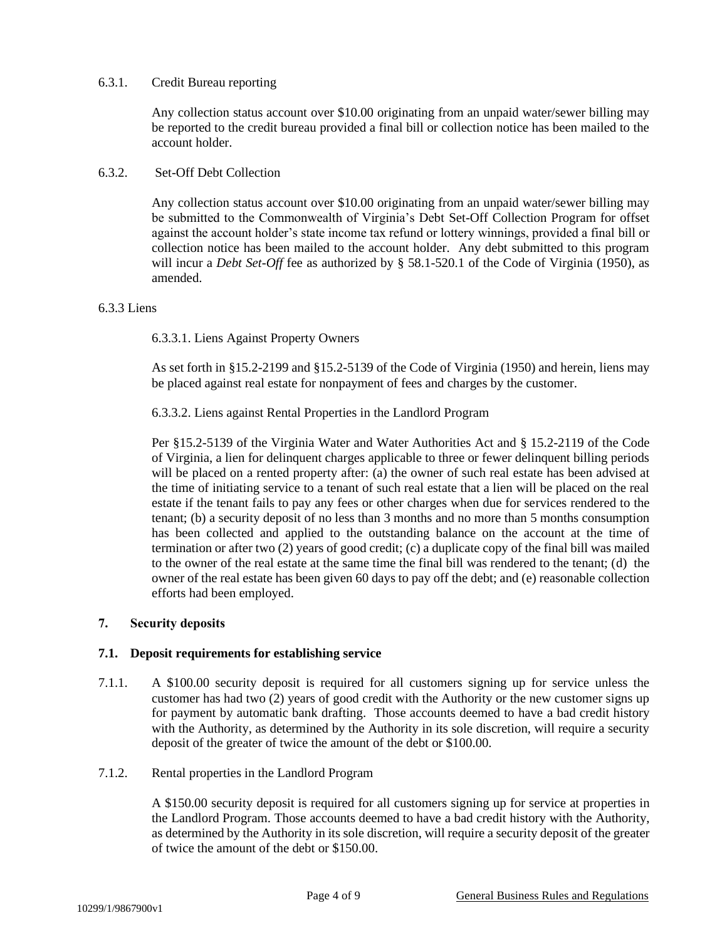#### 6.3.1. Credit Bureau reporting

Any collection status account over \$10.00 originating from an unpaid water/sewer billing may be reported to the credit bureau provided a final bill or collection notice has been mailed to the account holder.

## 6.3.2. Set-Off Debt Collection

Any collection status account over \$10.00 originating from an unpaid water/sewer billing may be submitted to the Commonwealth of Virginia's Debt Set-Off Collection Program for offset against the account holder's state income tax refund or lottery winnings, provided a final bill or collection notice has been mailed to the account holder. Any debt submitted to this program will incur a *Debt Set-Off* fee as authorized by § 58.1-520.1 of the Code of Virginia (1950), as amended.

#### 6.3.3 Liens

6.3.3.1. Liens Against Property Owners

As set forth in §15.2-2199 and §15.2-5139 of the Code of Virginia (1950) and herein, liens may be placed against real estate for nonpayment of fees and charges by the customer.

6.3.3.2. Liens against Rental Properties in the Landlord Program

Per §15.2-5139 of the Virginia Water and Water Authorities Act and § 15.2-2119 of the Code of Virginia, a lien for delinquent charges applicable to three or fewer delinquent billing periods will be placed on a rented property after: (a) the owner of such real estate has been advised at the time of initiating service to a tenant of such real estate that a lien will be placed on the real estate if the tenant fails to pay any fees or other charges when due for services rendered to the tenant; (b) a security deposit of no less than 3 months and no more than 5 months consumption has been collected and applied to the outstanding balance on the account at the time of termination or after two (2) years of good credit; (c) a duplicate copy of the final bill was mailed to the owner of the real estate at the same time the final bill was rendered to the tenant; (d) the owner of the real estate has been given 60 days to pay off the debt; and (e) reasonable collection efforts had been employed.

## **7. Security deposits**

## **7.1. Deposit requirements for establishing service**

- 7.1.1. A \$100.00 security deposit is required for all customers signing up for service unless the customer has had two (2) years of good credit with the Authority or the new customer signs up for payment by automatic bank drafting. Those accounts deemed to have a bad credit history with the Authority, as determined by the Authority in its sole discretion, will require a security deposit of the greater of twice the amount of the debt or \$100.00.
- 7.1.2. Rental properties in the Landlord Program

A \$150.00 security deposit is required for all customers signing up for service at properties in the Landlord Program. Those accounts deemed to have a bad credit history with the Authority, as determined by the Authority in its sole discretion, will require a security deposit of the greater of twice the amount of the debt or \$150.00.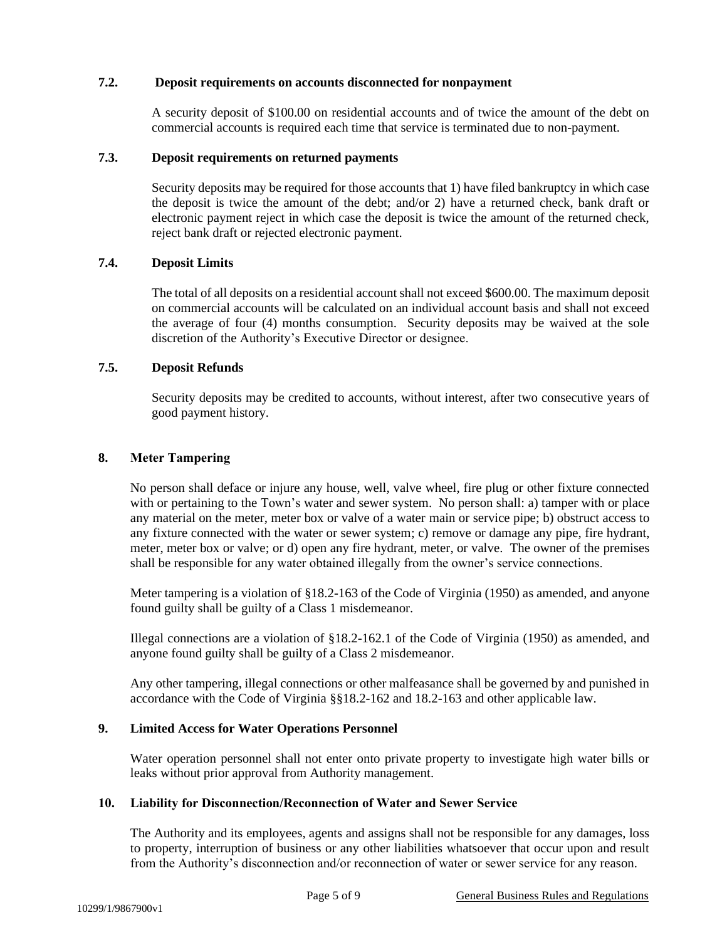## **7.2. Deposit requirements on accounts disconnected for nonpayment**

A security deposit of \$100.00 on residential accounts and of twice the amount of the debt on commercial accounts is required each time that service is terminated due to non-payment.

#### **7.3. Deposit requirements on returned payments**

Security deposits may be required for those accounts that 1) have filed bankruptcy in which case the deposit is twice the amount of the debt; and/or 2) have a returned check, bank draft or electronic payment reject in which case the deposit is twice the amount of the returned check, reject bank draft or rejected electronic payment.

# **7.4. Deposit Limits**

The total of all deposits on a residential account shall not exceed \$600.00. The maximum deposit on commercial accounts will be calculated on an individual account basis and shall not exceed the average of four (4) months consumption. Security deposits may be waived at the sole discretion of the Authority's Executive Director or designee.

#### **7.5. Deposit Refunds**

Security deposits may be credited to accounts, without interest, after two consecutive years of good payment history.

#### **8. Meter Tampering**

No person shall deface or injure any house, well, valve wheel, fire plug or other fixture connected with or pertaining to the Town's water and sewer system. No person shall: a) tamper with or place any material on the meter, meter box or valve of a water main or service pipe; b) obstruct access to any fixture connected with the water or sewer system; c) remove or damage any pipe, fire hydrant, meter, meter box or valve; or d) open any fire hydrant, meter, or valve. The owner of the premises shall be responsible for any water obtained illegally from the owner's service connections.

Meter tampering is a violation of §18.2-163 of the Code of Virginia (1950) as amended, and anyone found guilty shall be guilty of a Class 1 misdemeanor.

Illegal connections are a violation of §18.2-162.1 of the Code of Virginia (1950) as amended, and anyone found guilty shall be guilty of a Class 2 misdemeanor.

Any other tampering, illegal connections or other malfeasance shall be governed by and punished in accordance with the Code of Virginia §§18.2-162 and 18.2-163 and other applicable law.

## **9. Limited Access for Water Operations Personnel**

Water operation personnel shall not enter onto private property to investigate high water bills or leaks without prior approval from Authority management.

#### **10. Liability for Disconnection/Reconnection of Water and Sewer Service**

The Authority and its employees, agents and assigns shall not be responsible for any damages, loss to property, interruption of business or any other liabilities whatsoever that occur upon and result from the Authority's disconnection and/or reconnection of water or sewer service for any reason.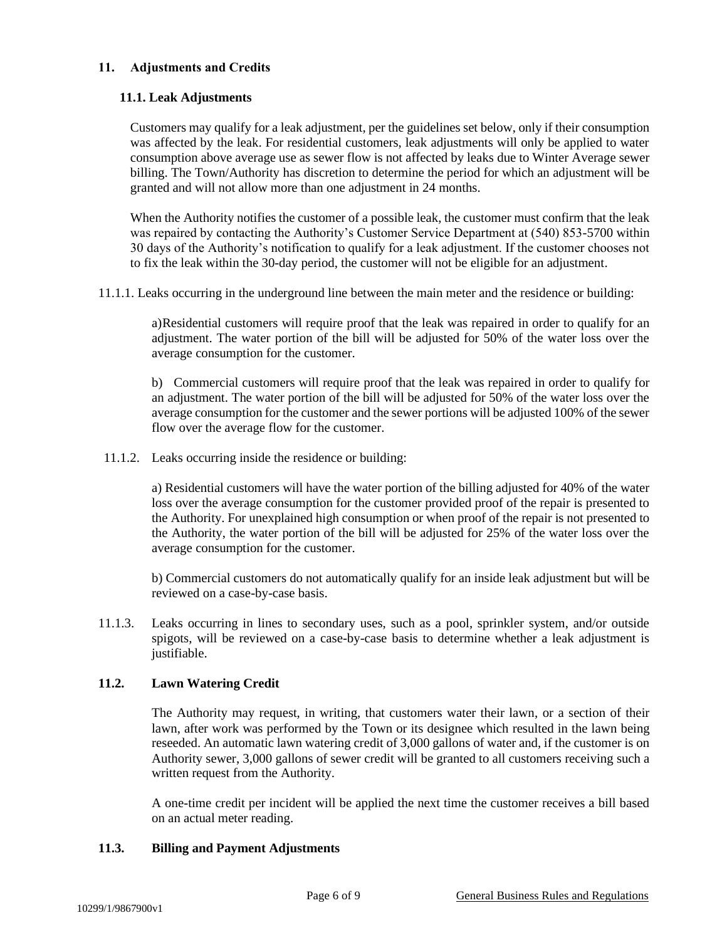# **11. Adjustments and Credits**

# **11.1. Leak Adjustments**

Customers may qualify for a leak adjustment, per the guidelines set below, only if their consumption was affected by the leak. For residential customers, leak adjustments will only be applied to water consumption above average use as sewer flow is not affected by leaks due to Winter Average sewer billing. The Town/Authority has discretion to determine the period for which an adjustment will be granted and will not allow more than one adjustment in 24 months.

When the Authority notifies the customer of a possible leak, the customer must confirm that the leak was repaired by contacting the Authority's Customer Service Department at (540) 853-5700 within 30 days of the Authority's notification to qualify for a leak adjustment. If the customer chooses not to fix the leak within the 30-day period, the customer will not be eligible for an adjustment.

11.1.1. Leaks occurring in the underground line between the main meter and the residence or building:

a)Residential customers will require proof that the leak was repaired in order to qualify for an adjustment. The water portion of the bill will be adjusted for 50% of the water loss over the average consumption for the customer.

b) Commercial customers will require proof that the leak was repaired in order to qualify for an adjustment. The water portion of the bill will be adjusted for 50% of the water loss over the average consumption for the customer and the sewer portions will be adjusted 100% of the sewer flow over the average flow for the customer.

11.1.2. Leaks occurring inside the residence or building:

a) Residential customers will have the water portion of the billing adjusted for 40% of the water loss over the average consumption for the customer provided proof of the repair is presented to the Authority. For unexplained high consumption or when proof of the repair is not presented to the Authority, the water portion of the bill will be adjusted for 25% of the water loss over the average consumption for the customer.

b) Commercial customers do not automatically qualify for an inside leak adjustment but will be reviewed on a case-by-case basis.

11.1.3. Leaks occurring in lines to secondary uses, such as a pool, sprinkler system, and/or outside spigots, will be reviewed on a case-by-case basis to determine whether a leak adjustment is justifiable.

# **11.2. Lawn Watering Credit**

The Authority may request, in writing, that customers water their lawn, or a section of their lawn, after work was performed by the Town or its designee which resulted in the lawn being reseeded. An automatic lawn watering credit of 3,000 gallons of water and, if the customer is on Authority sewer, 3,000 gallons of sewer credit will be granted to all customers receiving such a written request from the Authority.

A one-time credit per incident will be applied the next time the customer receives a bill based on an actual meter reading.

# **11.3. Billing and Payment Adjustments**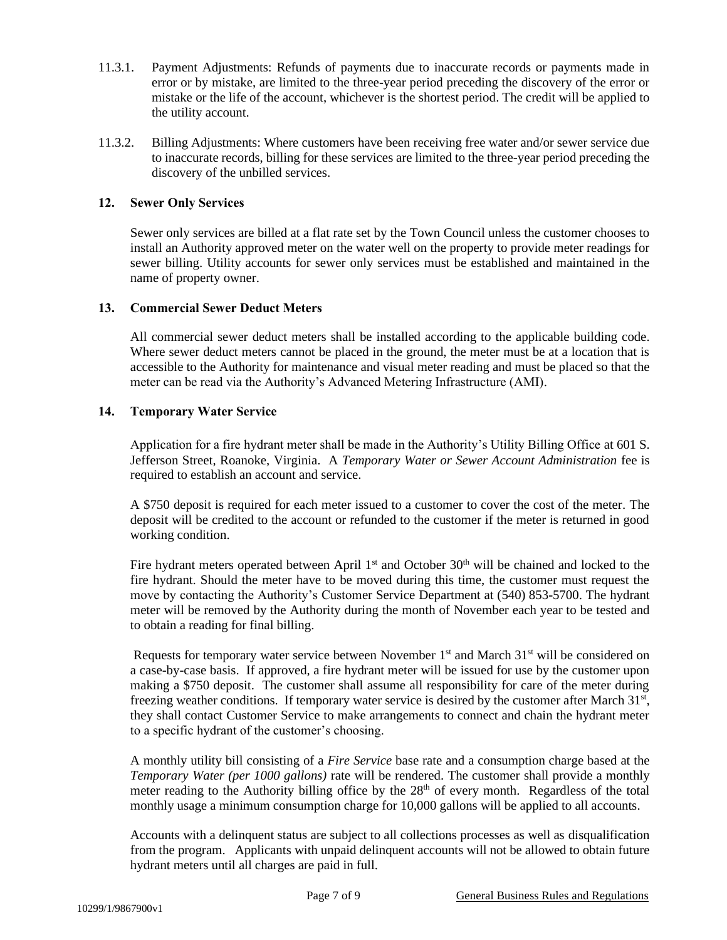- 11.3.1. Payment Adjustments: Refunds of payments due to inaccurate records or payments made in error or by mistake, are limited to the three-year period preceding the discovery of the error or mistake or the life of the account, whichever is the shortest period. The credit will be applied to the utility account.
- 11.3.2. Billing Adjustments: Where customers have been receiving free water and/or sewer service due to inaccurate records, billing for these services are limited to the three-year period preceding the discovery of the unbilled services.

## **12. Sewer Only Services**

Sewer only services are billed at a flat rate set by the Town Council unless the customer chooses to install an Authority approved meter on the water well on the property to provide meter readings for sewer billing. Utility accounts for sewer only services must be established and maintained in the name of property owner.

## **13. Commercial Sewer Deduct Meters**

All commercial sewer deduct meters shall be installed according to the applicable building code. Where sewer deduct meters cannot be placed in the ground, the meter must be at a location that is accessible to the Authority for maintenance and visual meter reading and must be placed so that the meter can be read via the Authority's Advanced Metering Infrastructure (AMI).

## **14. Temporary Water Service**

Application for a fire hydrant meter shall be made in the Authority's Utility Billing Office at 601 S. Jefferson Street, Roanoke, Virginia. A *Temporary Water or Sewer Account Administration* fee is required to establish an account and service.

A \$750 deposit is required for each meter issued to a customer to cover the cost of the meter. The deposit will be credited to the account or refunded to the customer if the meter is returned in good working condition.

Fire hydrant meters operated between April  $1<sup>st</sup>$  and October  $30<sup>th</sup>$  will be chained and locked to the fire hydrant. Should the meter have to be moved during this time, the customer must request the move by contacting the Authority's Customer Service Department at (540) 853-5700. The hydrant meter will be removed by the Authority during the month of November each year to be tested and to obtain a reading for final billing.

Requests for temporary water service between November  $1<sup>st</sup>$  and March  $31<sup>st</sup>$  will be considered on a case-by-case basis. If approved, a fire hydrant meter will be issued for use by the customer upon making a \$750 deposit. The customer shall assume all responsibility for care of the meter during freezing weather conditions. If temporary water service is desired by the customer after March 31<sup>st</sup>, they shall contact Customer Service to make arrangements to connect and chain the hydrant meter to a specific hydrant of the customer's choosing.

A monthly utility bill consisting of a *Fire Service* base rate and a consumption charge based at the *Temporary Water (per 1000 gallons)* rate will be rendered. The customer shall provide a monthly meter reading to the Authority billing office by the  $28<sup>th</sup>$  of every month. Regardless of the total monthly usage a minimum consumption charge for 10,000 gallons will be applied to all accounts.

Accounts with a delinquent status are subject to all collections processes as well as disqualification from the program. Applicants with unpaid delinquent accounts will not be allowed to obtain future hydrant meters until all charges are paid in full.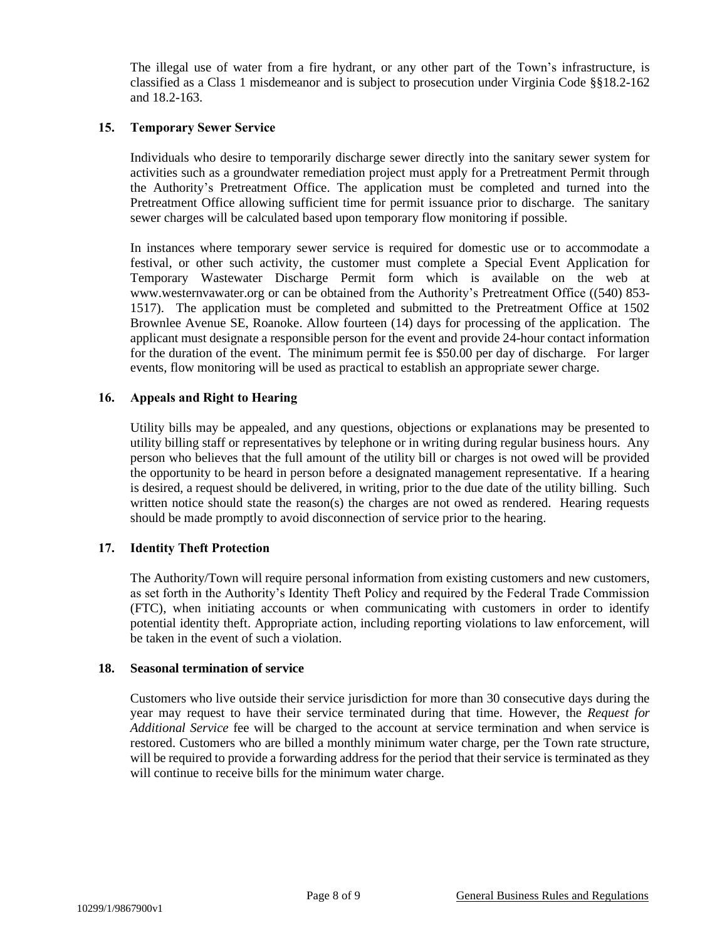The illegal use of water from a fire hydrant, or any other part of the Town's infrastructure, is classified as a Class 1 misdemeanor and is subject to prosecution under Virginia Code §§18.2-162 and 18.2-163.

# **15. Temporary Sewer Service**

Individuals who desire to temporarily discharge sewer directly into the sanitary sewer system for activities such as a groundwater remediation project must apply for a Pretreatment Permit through the Authority's Pretreatment Office. The application must be completed and turned into the Pretreatment Office allowing sufficient time for permit issuance prior to discharge. The sanitary sewer charges will be calculated based upon temporary flow monitoring if possible.

In instances where temporary sewer service is required for domestic use or to accommodate a festival, or other such activity, the customer must complete a Special Event Application for Temporary Wastewater Discharge Permit form which is available on the web at www.westernvawater.org or can be obtained from the Authority's Pretreatment Office ((540) 853- 1517). The application must be completed and submitted to the Pretreatment Office at 1502 Brownlee Avenue SE, Roanoke. Allow fourteen (14) days for processing of the application. The applicant must designate a responsible person for the event and provide 24-hour contact information for the duration of the event. The minimum permit fee is \$50.00 per day of discharge. For larger events, flow monitoring will be used as practical to establish an appropriate sewer charge.

# **16. Appeals and Right to Hearing**

Utility bills may be appealed, and any questions, objections or explanations may be presented to utility billing staff or representatives by telephone or in writing during regular business hours. Any person who believes that the full amount of the utility bill or charges is not owed will be provided the opportunity to be heard in person before a designated management representative. If a hearing is desired, a request should be delivered, in writing, prior to the due date of the utility billing. Such written notice should state the reason(s) the charges are not owed as rendered. Hearing requests should be made promptly to avoid disconnection of service prior to the hearing.

## **17. Identity Theft Protection**

The Authority/Town will require personal information from existing customers and new customers, as set forth in the Authority's Identity Theft Policy and required by the Federal Trade Commission (FTC), when initiating accounts or when communicating with customers in order to identify potential identity theft. Appropriate action, including reporting violations to law enforcement, will be taken in the event of such a violation.

#### **18. Seasonal termination of service**

Customers who live outside their service jurisdiction for more than 30 consecutive days during the year may request to have their service terminated during that time. However, the *Request for Additional Service* fee will be charged to the account at service termination and when service is restored. Customers who are billed a monthly minimum water charge, per the Town rate structure, will be required to provide a forwarding address for the period that their service is terminated as they will continue to receive bills for the minimum water charge.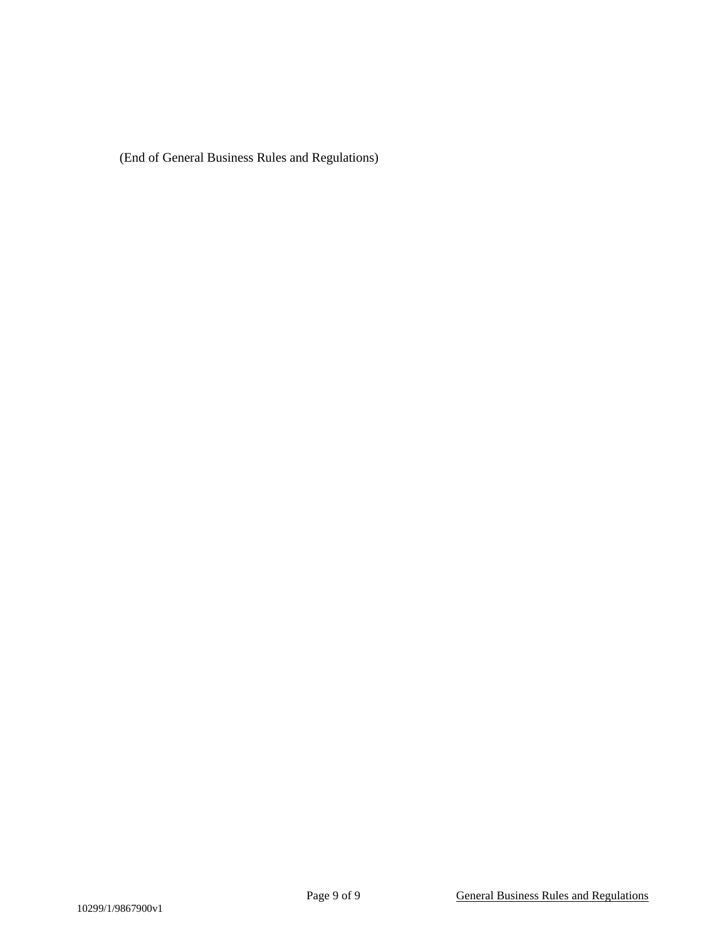(End of General Business Rules and Regulations)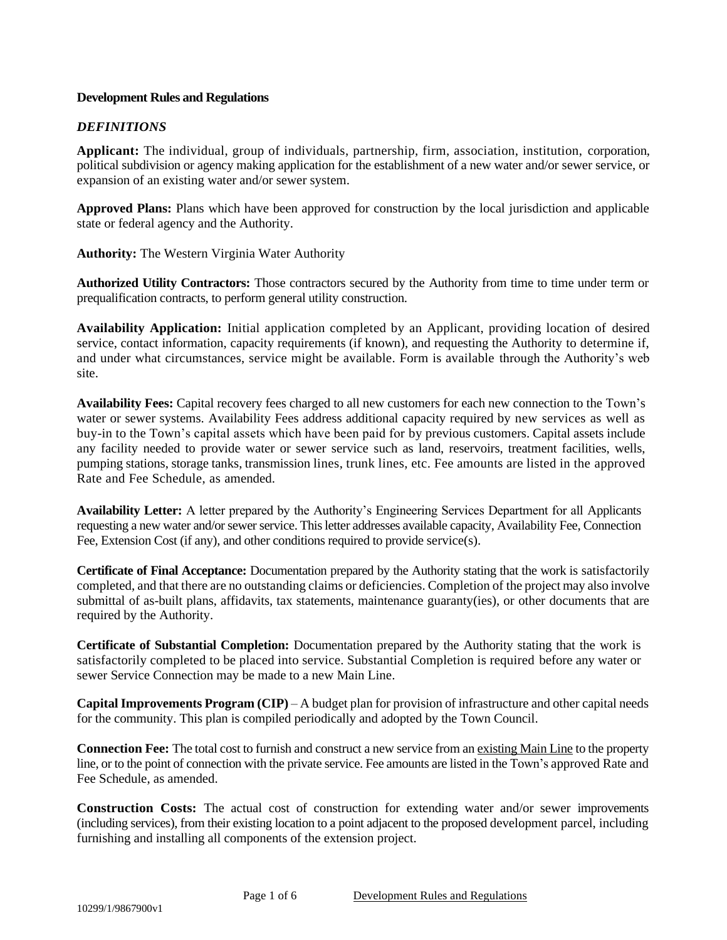# **Development Rules and Regulations**

# *DEFINITIONS*

**Applicant:** The individual, group of individuals, partnership, firm, association, institution, corporation, political subdivision or agency making application for the establishment of a new water and/or sewer service, or expansion of an existing water and/or sewer system.

**Approved Plans:** Plans which have been approved for construction by the local jurisdiction and applicable state or federal agency and the Authority.

**Authority:** The Western Virginia Water Authority

**Authorized Utility Contractors:** Those contractors secured by the Authority from time to time under term or prequalification contracts, to perform general utility construction.

**Availability Application:** Initial application completed by an Applicant, providing location of desired service, contact information, capacity requirements (if known), and requesting the Authority to determine if, and under what circumstances, service might be available. Form is available through the Authority's web site.

**Availability Fees:** Capital recovery fees charged to all new customers for each new connection to the Town's water or sewer systems. Availability Fees address additional capacity required by new services as well as buy-in to the Town's capital assets which have been paid for by previous customers. Capital assets include any facility needed to provide water or sewer service such as land, reservoirs, treatment facilities, wells, pumping stations, storage tanks, transmission lines, trunk lines, etc. Fee amounts are listed in the approved Rate and Fee Schedule, as amended.

**Availability Letter:** A letter prepared by the Authority's Engineering Services Department for all Applicants requesting a new water and/or sewer service. This letter addresses available capacity, Availability Fee, Connection Fee, Extension Cost (if any), and other conditions required to provide service(s).

**Certificate of Final Acceptance:** Documentation prepared by the Authority stating that the work is satisfactorily completed, and that there are no outstanding claims or deficiencies. Completion of the project may also involve submittal of as-built plans, affidavits, tax statements, maintenance guaranty(ies), or other documents that are required by the Authority.

**Certificate of Substantial Completion:** Documentation prepared by the Authority stating that the work is satisfactorily completed to be placed into service. Substantial Completion is required before any water or sewer Service Connection may be made to a new Main Line.

**Capital Improvements Program (CIP)** – A budget plan for provision of infrastructure and other capital needs for the community. This plan is compiled periodically and adopted by the Town Council.

**Connection Fee:** The total cost to furnish and construct a new service from an existing Main Line to the property line, or to the point of connection with the private service. Fee amounts are listed in the Town's approved Rate and Fee Schedule, as amended.

**Construction Costs:** The actual cost of construction for extending water and/or sewer improvements (including services), from their existing location to a point adjacent to the proposed development parcel, including furnishing and installing all components of the extension project.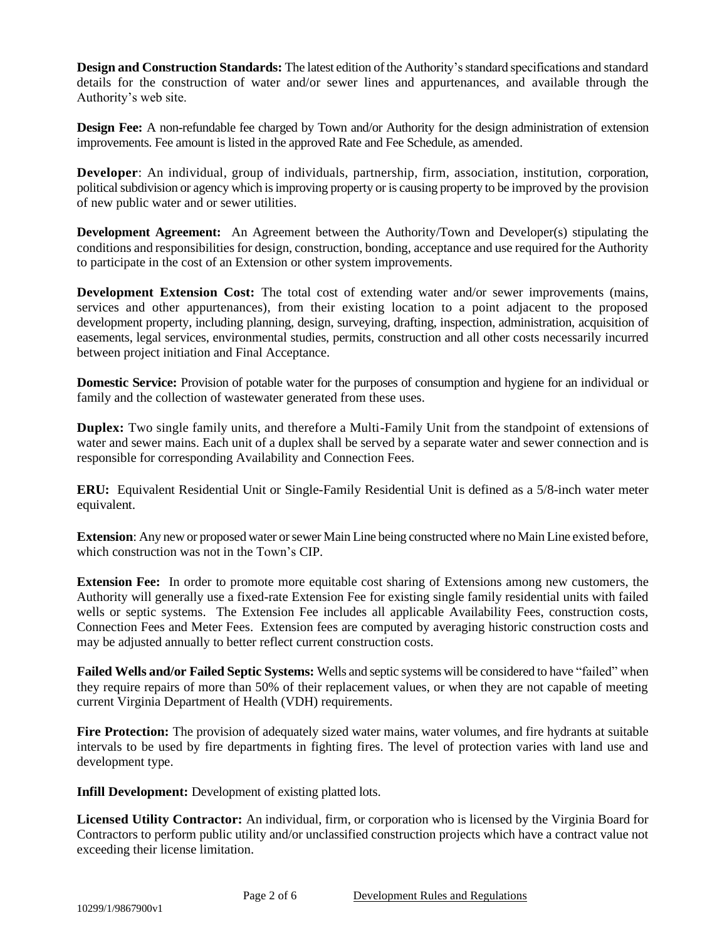**Design and Construction Standards:** The latest edition of the Authority's standard specifications and standard details for the construction of water and/or sewer lines and appurtenances, and available through the Authority's web site.

**Design Fee:** A non-refundable fee charged by Town and/or Authority for the design administration of extension improvements. Fee amount is listed in the approved Rate and Fee Schedule, as amended.

**Developer**: An individual, group of individuals, partnership, firm, association, institution, corporation, political subdivision or agency which is improving property or is causing property to be improved by the provision of new public water and or sewer utilities.

**Development Agreement:** An Agreement between the Authority/Town and Developer(s) stipulating the conditions and responsibilities for design, construction, bonding, acceptance and use required for the Authority to participate in the cost of an Extension or other system improvements.

**Development Extension Cost:** The total cost of extending water and/or sewer improvements (mains, services and other appurtenances), from their existing location to a point adjacent to the proposed development property, including planning, design, surveying, drafting, inspection, administration, acquisition of easements, legal services, environmental studies, permits, construction and all other costs necessarily incurred between project initiation and Final Acceptance.

**Domestic Service:** Provision of potable water for the purposes of consumption and hygiene for an individual or family and the collection of wastewater generated from these uses.

**Duplex:** Two single family units, and therefore a Multi-Family Unit from the standpoint of extensions of water and sewer mains. Each unit of a duplex shall be served by a separate water and sewer connection and is responsible for corresponding Availability and Connection Fees.

**ERU:** Equivalent Residential Unit or Single-Family Residential Unit is defined as a 5/8-inch water meter equivalent.

**Extension**: Any new or proposed water or sewer Main Line being constructed where no Main Line existed before, which construction was not in the Town's CIP.

**Extension Fee:** In order to promote more equitable cost sharing of Extensions among new customers, the Authority will generally use a fixed-rate Extension Fee for existing single family residential units with failed wells or septic systems. The Extension Fee includes all applicable Availability Fees, construction costs, Connection Fees and Meter Fees. Extension fees are computed by averaging historic construction costs and may be adjusted annually to better reflect current construction costs.

**Failed Wells and/or Failed Septic Systems:** Wells and septic systems will be considered to have "failed" when they require repairs of more than 50% of their replacement values, or when they are not capable of meeting current Virginia Department of Health (VDH) requirements.

**Fire Protection:** The provision of adequately sized water mains, water volumes, and fire hydrants at suitable intervals to be used by fire departments in fighting fires. The level of protection varies with land use and development type.

**Infill Development:** Development of existing platted lots.

**Licensed Utility Contractor:** An individual, firm, or corporation who is licensed by the Virginia Board for Contractors to perform public utility and/or unclassified construction projects which have a contract value not exceeding their license limitation.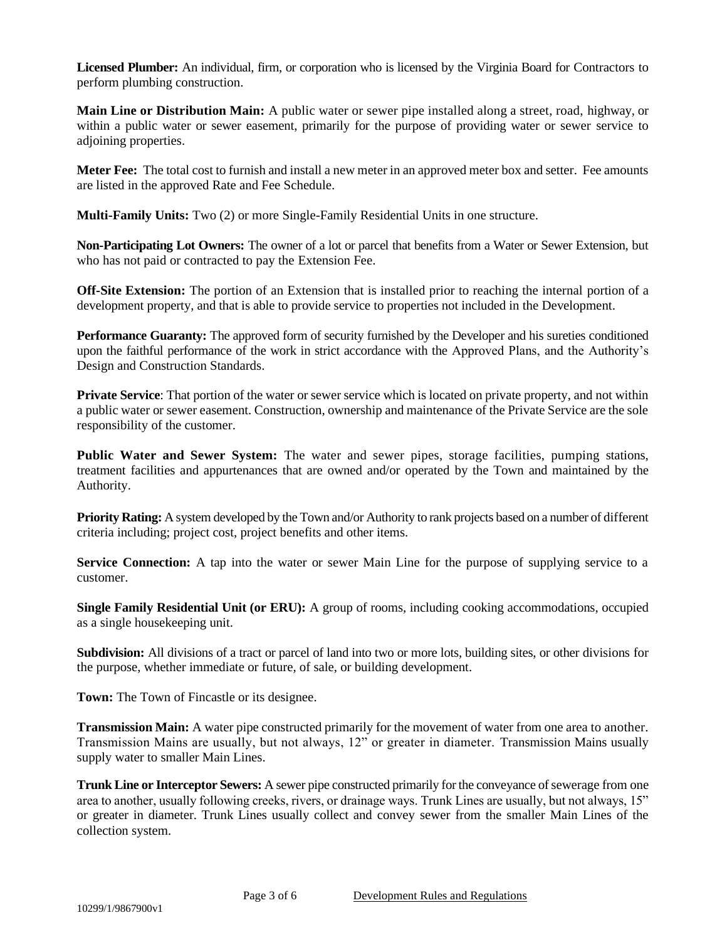**Licensed Plumber:** An individual, firm, or corporation who is licensed by the Virginia Board for Contractors to perform plumbing construction.

**Main Line or Distribution Main:** A public water or sewer pipe installed along a street, road, highway, or within a public water or sewer easement, primarily for the purpose of providing water or sewer service to adjoining properties.

**Meter Fee:** The total cost to furnish and install a new meter in an approved meter box and setter. Fee amounts are listed in the approved Rate and Fee Schedule.

**Multi-Family Units:** Two (2) or more Single-Family Residential Units in one structure.

**Non-Participating Lot Owners:** The owner of a lot or parcel that benefits from a Water or Sewer Extension, but who has not paid or contracted to pay the Extension Fee.

**Off-Site Extension:** The portion of an Extension that is installed prior to reaching the internal portion of a development property, and that is able to provide service to properties not included in the Development.

**Performance Guaranty:** The approved form of security furnished by the Developer and his sureties conditioned upon the faithful performance of the work in strict accordance with the Approved Plans, and the Authority's Design and Construction Standards.

**Private Service**: That portion of the water or sewer service which is located on private property, and not within a public water or sewer easement. Construction, ownership and maintenance of the Private Service are the sole responsibility of the customer.

**Public Water and Sewer System:** The water and sewer pipes, storage facilities, pumping stations, treatment facilities and appurtenances that are owned and/or operated by the Town and maintained by the Authority.

**Priority Rating:** A system developed by the Town and/or Authority to rank projects based on a number of different criteria including; project cost, project benefits and other items.

**Service Connection:** A tap into the water or sewer Main Line for the purpose of supplying service to a customer.

**Single Family Residential Unit (or ERU):** A group of rooms, including cooking accommodations, occupied as a single housekeeping unit.

**Subdivision:** All divisions of a tract or parcel of land into two or more lots, building sites, or other divisions for the purpose, whether immediate or future, of sale, or building development.

**Town:** The Town of Fincastle or its designee.

**Transmission Main:** A water pipe constructed primarily for the movement of water from one area to another. Transmission Mains are usually, but not always, 12" or greater in diameter. Transmission Mains usually supply water to smaller Main Lines.

**Trunk Line or Interceptor Sewers:** A sewer pipe constructed primarily for the conveyance of sewerage from one area to another, usually following creeks, rivers, or drainage ways. Trunk Lines are usually, but not always, 15" or greater in diameter. Trunk Lines usually collect and convey sewer from the smaller Main Lines of the collection system.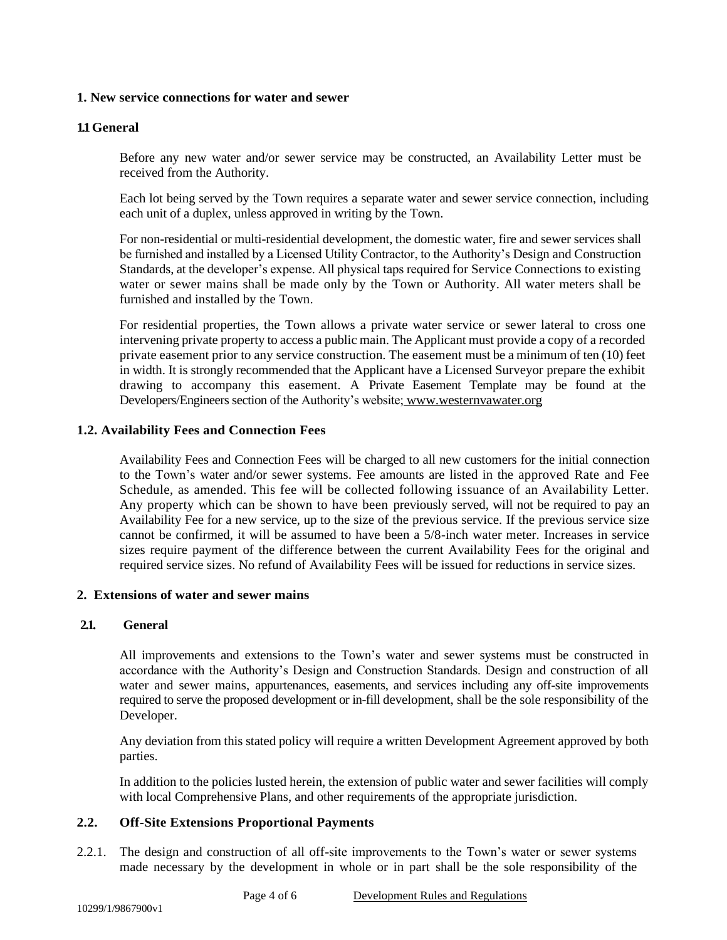## **1. New service connections for water and sewer**

## **1.1 General**

Before any new water and/or sewer service may be constructed, an Availability Letter must be received from the Authority.

Each lot being served by the Town requires a separate water and sewer service connection, including each unit of a duplex, unless approved in writing by the Town.

For non-residential or multi-residential development, the domestic water, fire and sewer services shall be furnished and installed by a Licensed Utility Contractor, to the Authority's Design and Construction Standards, at the developer's expense. All physical taps required for Service Connections to existing water or sewer mains shall be made only by the Town or Authority. All water meters shall be furnished and installed by the Town.

For residential properties, the Town allows a private water service or sewer lateral to cross one intervening private property to access a public main. The Applicant must provide a copy of a recorded private easement prior to any service construction. The easement must be a minimum of ten (10) feet in width. It is strongly recommended that the Applicant have a Licensed Surveyor prepare the exhibit drawing to accompany this easement. A Private Easement Template may be found at the Developers/Engineers section of the Authority's website; [www.westernvawater.org](http://www.westernvawater.org/)

## **1.2. Availability Fees and Connection Fees**

Availability Fees and Connection Fees will be charged to all new customers for the initial connection to the Town's water and/or sewer systems. Fee amounts are listed in the approved Rate and Fee Schedule, as amended. This fee will be collected following issuance of an Availability Letter. Any property which can be shown to have been previously served, will not be required to pay an Availability Fee for a new service, up to the size of the previous service. If the previous service size cannot be confirmed, it will be assumed to have been a 5/8-inch water meter. Increases in service sizes require payment of the difference between the current Availability Fees for the original and required service sizes. No refund of Availability Fees will be issued for reductions in service sizes.

## **2. Extensions of water and sewer mains**

## **2.1. General**

All improvements and extensions to the Town's water and sewer systems must be constructed in accordance with the Authority's Design and Construction Standards. Design and construction of all water and sewer mains, appurtenances, easements, and services including any off-site improvements required to serve the proposed development or in-fill development, shall be the sole responsibility of the Developer.

Any deviation from this stated policy will require a written Development Agreement approved by both parties.

In addition to the policies lusted herein, the extension of public water and sewer facilities will comply with local Comprehensive Plans, and other requirements of the appropriate jurisdiction.

# **2.2. Off-Site Extensions Proportional Payments**

2.2.1. The design and construction of all off-site improvements to the Town's water or sewer systems made necessary by the development in whole or in part shall be the sole responsibility of the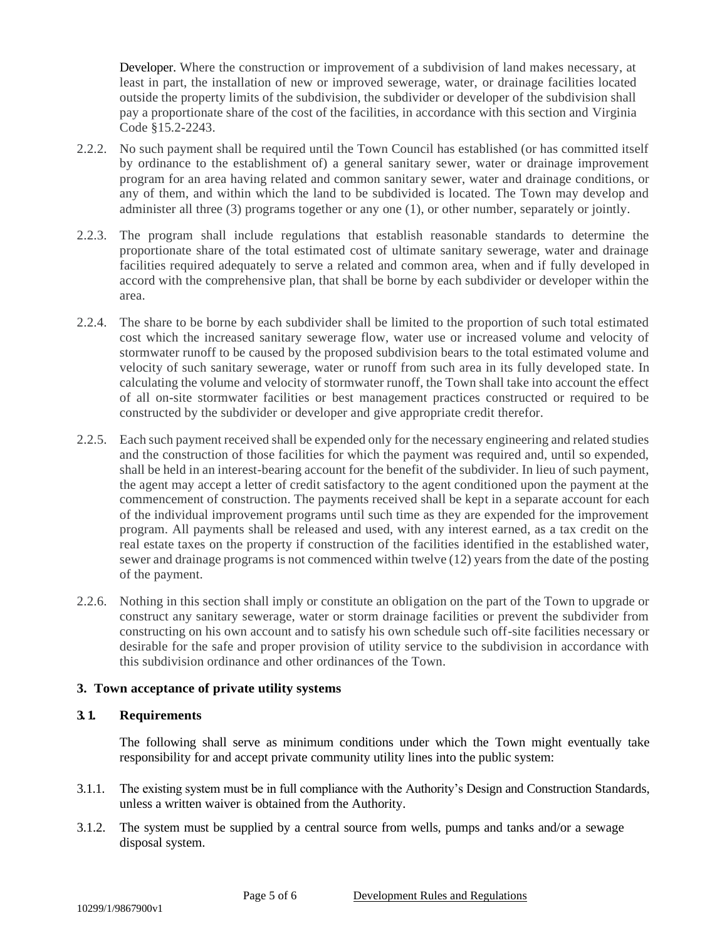Developer. Where the construction or improvement of a subdivision of land makes necessary, at least in part, the installation of new or improved sewerage, water, or drainage facilities located outside the property limits of the subdivision, the subdivider or developer of the subdivision shall pay a proportionate share of the cost of the facilities, in accordance with this section and Virginia Code §15.2-2243.

- 2.2.2. No such payment shall be required until the Town Council has established (or has committed itself by ordinance to the establishment of) a general sanitary sewer, water or drainage improvement program for an area having related and common sanitary sewer, water and drainage conditions, or any of them, and within which the land to be subdivided is located. The Town may develop and administer all three (3) programs together or any one (1), or other number, separately or jointly.
- 2.2.3. The program shall include regulations that establish reasonable standards to determine the proportionate share of the total estimated cost of ultimate sanitary sewerage, water and drainage facilities required adequately to serve a related and common area, when and if fully developed in accord with the comprehensive plan, that shall be borne by each subdivider or developer within the area.
- 2.2.4. The share to be borne by each subdivider shall be limited to the proportion of such total estimated cost which the increased sanitary sewerage flow, water use or increased volume and velocity of stormwater runoff to be caused by the proposed subdivision bears to the total estimated volume and velocity of such sanitary sewerage, water or runoff from such area in its fully developed state. In calculating the volume and velocity of stormwater runoff, the Town shall take into account the effect of all on-site stormwater facilities or best management practices constructed or required to be constructed by the subdivider or developer and give appropriate credit therefor.
- 2.2.5. Each such payment received shall be expended only for the necessary engineering and related studies and the construction of those facilities for which the payment was required and, until so expended, shall be held in an interest-bearing account for the benefit of the subdivider. In lieu of such payment, the agent may accept a letter of credit satisfactory to the agent conditioned upon the payment at the commencement of construction. The payments received shall be kept in a separate account for each of the individual improvement programs until such time as they are expended for the improvement program. All payments shall be released and used, with any interest earned, as a tax credit on the real estate taxes on the property if construction of the facilities identified in the established water, sewer and drainage programs is not commenced within twelve (12) years from the date of the posting of the payment.
- 2.2.6. Nothing in this section shall imply or constitute an obligation on the part of the Town to upgrade or construct any sanitary sewerage, water or storm drainage facilities or prevent the subdivider from constructing on his own account and to satisfy his own schedule such off-site facilities necessary or desirable for the safe and proper provision of utility service to the subdivision in accordance with this subdivision ordinance and other ordinances of the Town.

## **3. Town acceptance of private utility systems**

## **3. 1. Requirements**

The following shall serve as minimum conditions under which the Town might eventually take responsibility for and accept private community utility lines into the public system:

- 3.1.1. The existing system must be in full compliance with the Authority's Design and Construction Standards, unless a written waiver is obtained from the Authority.
- 3.1.2. The system must be supplied by a central source from wells, pumps and tanks and/or a sewage disposal system.